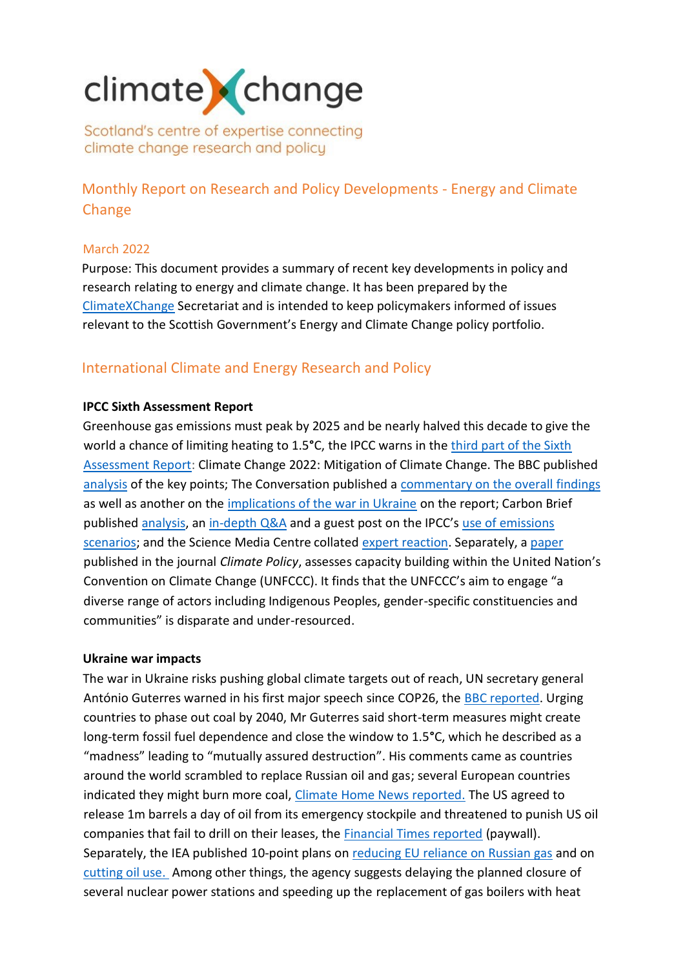# climate change

Scotland's centre of expertise connecting climate change research and policy

Monthly Report on Research and Policy Developments - Energy and Climate Change

## March 2022

Purpose: This document provides a summary of recent key developments in policy and research relating to energy and climate change. It has been prepared by the [ClimateXChange](http://www.climatexchange.org.uk/) Secretariat and is intended to keep policymakers informed of issues relevant to the Scottish Government's Energy and Climate Change policy portfolio.

# International Climate and Energy Research and Policy

## **IPCC Sixth Assessment Report**

Greenhouse gas emissions must peak by 2025 and be nearly halved this decade to give the world a chance of limiting heating to 1.5°C, the IPCC warns in the third part of the Sixth [Assessment Report:](https://www.ipcc.ch/report/sixth-assessment-report-working-group-3/) Climate Change 2022: Mitigation of Climate Change. The BBC published [analysis](https://www.bbc.co.uk/news/science-environment-60987614) of the key points; The Conversation published a [commentary on the overall findings](https://theconversation.com/ipcc-finds-the-world-has-its-best-chance-yet-to-slash-emissions-if-it-seizes-the-opportunity-179653) as well as another on the [implications of the war in Ukraine](https://theconversation.com/what-the-invasion-of-ukraine-means-for-the-ipccs-latest-climate-change-report-180467) on the report; Carbon Brief published [analysis,](https://www.carbonbrief.org/analysis-what-the-new-ipcc-report-says-about-how-to-limit-warming-to-1-5c-or-2c) an [in-depth Q&A](https://www.carbonbrief.org/in-depth-qa-the-ipccs-sixth-assessment-on-how-to-tackle-climate-change) and a guest post on the IPCC's [use of emissions](https://www.carbonbrief.org/guest-post-how-not-to-interpret-the-emissions-scenarios-in-the-ipcc-report)  [scenarios;](https://www.carbonbrief.org/guest-post-how-not-to-interpret-the-emissions-scenarios-in-the-ipcc-report) and the Science Media Centre collated [expert reaction.](https://www.sciencemediacentre.org/expert-reaction-to-assessment-report-6-working-group-3-mitigation-as-published-by-the-ipcc/) Separately, a [paper](https://www.tandfonline.com/doi/full/10.1080/14693062.2022.2042176) published in the journal *Climate Policy*, assesses capacity building within the United Nation's Convention on Climate Change (UNFCCC). It finds that the UNFCCC's aim to engage "a diverse range of actors including Indigenous Peoples, gender-specific constituencies and communities" is disparate and under-resourced.

#### **Ukraine war impacts**

The war in Ukraine risks pushing global climate targets out of reach, UN secretary general António Guterres warned in his first major speech since COP26, the [BBC reported.](https://www.bbc.co.uk/news/science-environment-60815547) Urging countries to phase out coal by 2040, Mr Guterres said short-term measures might create long-term fossil fuel dependence and close the window to 1.5**°**C, which he described as a "madness" leading to "mutually assured destruction". His comments came as countries around the world scrambled to replace Russian oil and gas; several European countries indicated they might burn more coal, [Climate Home News reported.](https://www.climatechangenews.com/2022/03/15/some-eu-members-turn-back-to-coal-to-cut-reliance-on-russian-gas/) The US agreed to release 1m barrels a day of oil from its emergency stockpile and threatened to punish US oil companies that fail to drill on their leases, the [Financial Times reported](https://www.ft.com/content/030b0042-9e51-44ae-8f62-e14f439450ef) (paywall). Separately, the IEA published 10-point plans on [reducing EU reliance on Russian gas](https://www.iea.org/reports/a-10-point-plan-to-reduce-the-european-unions-reliance-on-russian-natural-gas) and on [cutting oil use.](https://www.iea.org/reports/a-10-point-plan-to-cut-oil-use) Among other things, the agency suggests delaying the planned closure of several nuclear power stations and speeding up the replacement of gas boilers with heat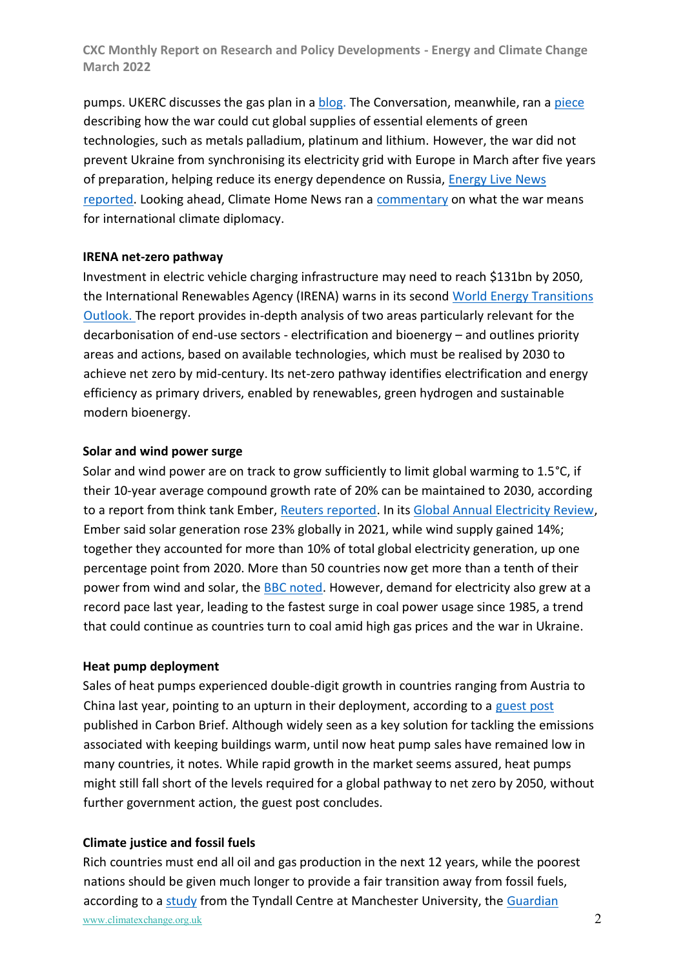pumps. UKERC discusses the gas plan in [a blog.](https://ukerc.ac.uk/news/russian-gas-iea-10-point-plan/?utm_source=UKERC+Communications+Preferences&utm_campaign=810e4c3a34-EMAIL_CAMPAIGN_2020_05_20_11_04_COPY_01&utm_medium=email&utm_term=0_5509c675d5-810e4c3a34-155418177) The Conversation, meanwhile, ran [a piece](https://theconversation.com/war-in-ukraine-could-cut-global-supply-of-essential-elements-for-making-green-technology-179138) describing how the war could cut global supplies of essential elements of green technologies, such as metals palladium, platinum and lithium. However, the war did not prevent Ukraine from synchronising its electricity grid with Europe in March after five years of preparation, helping reduce its energy dependence on Russia, [Energy Live News](https://www.energylivenews.com/2022/03/21/ukraine-has-now-its-own-energy-airbag/)  [reported.](https://www.energylivenews.com/2022/03/21/ukraine-has-now-its-own-energy-airbag/) Looking ahead, Climate Home News ran a [commentary](https://www.climatechangenews.com/2022/03/25/responses-to-putins-war-risk-impeding-international-cooperation-on-climate/?utm_campaign=Daily%20Briefing&utm_content=20220328&utm_medium=email&utm_source=Revue%20newsletter) on what the war means for international climate diplomacy.

## **IRENA net-zero pathway**

Investment in electric vehicle charging infrastructure may need to reach \$131bn by 2050, the International Renewables Agency (IRENA) warns in its second [World Energy Transitions](https://www.irena.org/publications/2022/Mar/World-Energy-Transitions-Outlook-2022)  [Outlook.](https://www.irena.org/publications/2022/Mar/World-Energy-Transitions-Outlook-2022) The report provides in-depth analysis of two areas particularly relevant for the decarbonisation of end-use sectors - electrification and bioenergy – and outlines priority areas and actions, based on available technologies, which must be realised by 2030 to achieve net zero by mid-century. Its net-zero pathway identifies electrification and energy efficiency as primary drivers, enabled by renewables, green hydrogen and sustainable modern bioenergy.

## **Solar and wind power surge**

Solar and wind power are on track to grow sufficiently to limit global warming to 1.5°C, if their 10-year average compound growth rate of 20% can be maintained to 2030, according to a report from think tank Ember[, Reuters reported.](https://www.reuters.com/business/sustainable-business/global-wind-solar-growth-track-meet-climate-targets-2022-03-30/) In its [Global Annual Electricity Review,](https://ember-climate.org/insights/research/global-electricity-review-2022/) Ember said solar generation rose 23% globally in 2021, while wind supply gained 14%; together they accounted for more than 10% of total global electricity generation, up one percentage point from 2020. More than 50 countries now get more than a tenth of their power from wind and solar, the [BBC noted.](https://www.bbc.co.uk/news/science-environment-60917445) However, demand for electricity also grew at a record pace last year, leading to the fastest surge in coal power usage since 1985, a trend that could continue as countries turn to coal amid high gas prices and the war in Ukraine.

#### **Heat pump deployment**

Sales of heat pumps experienced double-digit growth in countries ranging from Austria to China last year, pointing to an upturn in their deployment, according to a [guest post](https://www.carbonbrief.org/guest-post-how-heat-pump-sales-are-starting-to-take-off-around-the-world) published in Carbon Brief. Although widely seen as a key solution for tackling the emissions associated with keeping buildings warm, until now heat pump sales have remained low in many countries, it notes. While rapid growth in the market seems assured, heat pumps might still fall short of the levels required for a global pathway to net zero by 2050, without further government action, the guest post concludes.

# **Climate justice and fossil fuels**

www.climatexchange.org.uk 2 Rich countries must end all oil and gas production in the next 12 years, while the poorest nations should be given much longer to provide a fair transition away from fossil fuels, according to a [study](https://tyndall.ac.uk/news/rich-countries-must-end-oil-and-gas-production-by-2034-for-a-fair-1-5c-transition/) from the Tyndall Centre at Manchester University, the Guardian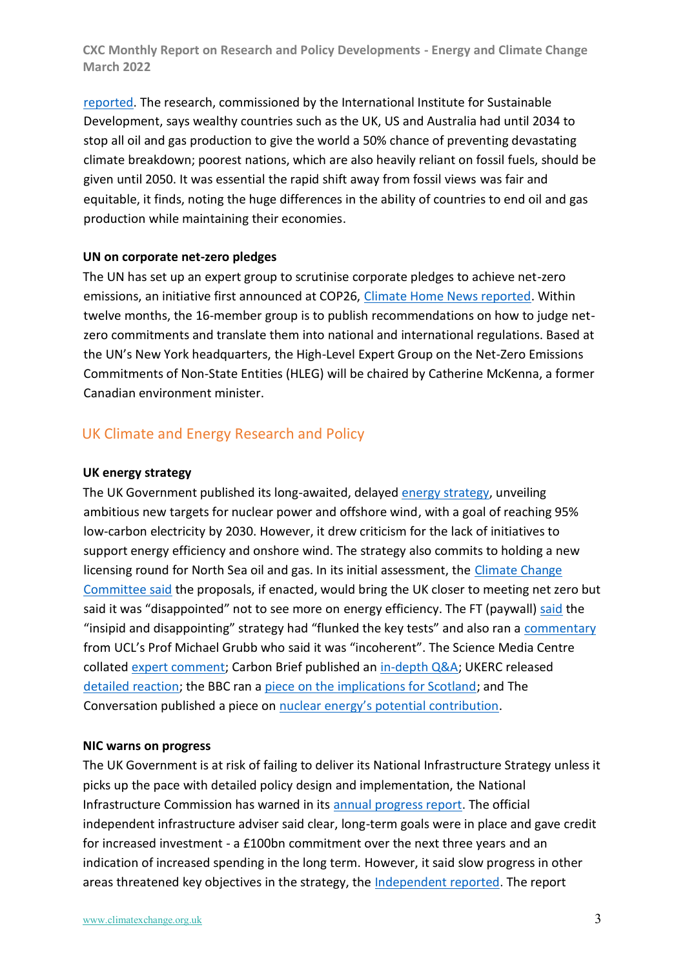[reported.](https://www.theguardian.com/environment/2022/mar/22/rich-countries-must-stop-producing-oil-and-gas-by-2034-says-study) The research, commissioned by the International Institute for Sustainable Development, says wealthy countries such as the UK, US and Australia had until 2034 to stop all oil and gas production to give the world a 50% chance of preventing devastating climate breakdown; poorest nations, which are also heavily reliant on fossil fuels, should be given until 2050. It was essential the rapid shift away from fossil views was fair and equitable, it finds, noting the huge differences in the ability of countries to end oil and gas production while maintaining their economies.

## **UN on corporate net-zero pledges**

The UN has set up an expert group to scrutinise corporate pledges to achieve net-zero emissions, an initiative first announced at COP26, [Climate Home News reported.](https://www.climatechangenews.com/2022/03/31/canadian-ex-minister-catherine-mckenna-named-to-head-un-greenwash-watchdog/) Within twelve months, the 16-member group is to publish recommendations on how to judge netzero commitments and translate them into national and international regulations. Based at the UN's New York headquarters, the High-Level Expert Group on the Net-Zero Emissions Commitments of Non-State Entities (HLEG) will be chaired by Catherine McKenna, a former Canadian environment minister.

# UK Climate and Energy Research and Policy

#### **UK energy strategy**

The UK Government published its long-awaited, delayed [energy strategy,](https://www.gov.uk/government/publications/british-energy-security-strategy/british-energy-security-strategy) unveiling ambitious new targets for nuclear power and offshore wind, with a goal of reaching 95% low-carbon electricity by 2030. However, it drew criticism for the lack of initiatives to support energy efficiency and onshore wind. The strategy also commits to holding a new licensing round for North Sea oil and gas. In its initial assessment, the Climate Change [Committee said](https://www.theccc.org.uk/2022/04/07/ccc-responds-to-uk-governments-energy-security-strategy/) the proposals, if enacted, would bring the UK closer to meeting net zero but said it was "disappointed" not to see more on energy efficiency. The FT (paywall) [said](https://www.ft.com/content/ebfc8c0b-7acc-4695-b4be-45e0b8b0ba0f) the "insipid and disappointing" strategy had "flunked the key tests" and also ran a [commentary](https://www.ft.com/content/3fe73617-5f8f-4b70-8856-ca53e2ec92b3) from UCL's Prof Michael Grubb who said it was "incoherent". The Science Media Centre collated [expert comment;](https://www.sciencemediacentre.org/expert-reaction-to-government-press-release-about-the-energy-strategy/) Carbon Brief published an [in-depth Q&A;](https://www.carbonbrief.org/qa-what-does-the-uks-new-energy-security-strategy-mean-for-climate-change) UKERC released [detailed reaction;](https://ukerc.ac.uk/news/ukerc-response-energy-security-strategy/?utm_source=UKERC+Communications+Preferences&utm_campaign=909244818f-EMAIL_CAMPAIGN_2020_05_20_11_04_COPY_01&utm_medium=email&utm_term=0_5509c675d5-909244818f-155418177) the BBC ran a [piece on the implications for Scotland;](https://www.bbc.co.uk/news/uk-scotland-61022759) and The Conversation published a piece on nuclear energy's [potential contribution.](https://theconversation.com/can-nuclear-power-secure-a-path-to-net-zero-180451)

#### **NIC warns on progress**

The UK Government is at risk of failing to deliver its National Infrastructure Strategy unless it picks up the pace with detailed policy design and implementation, the National Infrastructure Commission has warned in its [annual progress report.](https://nic.org.uk/studies-reports/infrastructure-progress-review-2022/) The official independent infrastructure adviser said clear, long-term goals were in place and gave credit for increased investment - a £100bn commitment over the next three years and an indication of increased spending in the long term. However, it said slow progress in other areas threatened key objectives in the strategy, the [Independent reported.](https://www.independent.co.uk/climate-change/news/boris-johnson-levelling-up-net-zero-b2037200.html?utm_campaign=Daily%20Briefing&utm_content=20220317&utm_medium=email&utm_source=Revue%20newsletter) The report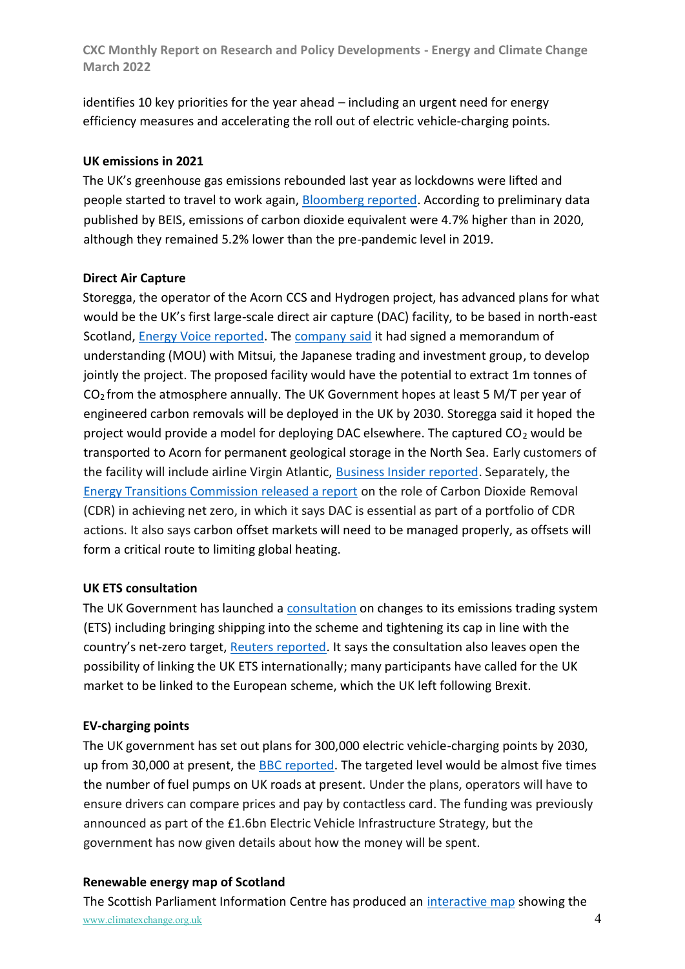identifies 10 key priorities for the year ahead – including an urgent need for energy efficiency measures and accelerating the roll out of electric vehicle-charging points.

## **UK emissions in 2021**

The UK's greenhouse gas emissions rebounded last year as lockdowns were lifted and people started to travel to work again, [Bloomberg reported.](https://www.bloomberg.com/news/articles/2022-03-31/u-k-emissions-rose-4-7-in-2021-as-people-went-back-to-work?sref=Oz9Q3OZU&utm_campaign=Daily%20Briefing&utm_content=20220401&utm_medium=email&utm_source=Revue%20newsletter) According to preliminary data published by BEIS, emissions of carbon dioxide equivalent were 4.7% higher than in 2020, although they remained 5.2% lower than the pre-pandemic level in 2019.

## **Direct Air Capture**

Storegga, the operator of the Acorn CCS and Hydrogen project, has advanced plans for what would be the UK's first large-scale direct air capture (DAC) facility, to be based in north-east Scotland, [Energy Voice reported.](https://www.energyvoice.com/renewables-energy-transition/398270/storegga-signs-mou-to-progress-aberdeenshire-direct-air-capture-facility/) The [company said](https://www.storegga.earth/news/2022/press-releases/mitsui-and-storegga-conclude-memorandum-of-understanding-on-commercialization-of-direct-air-capture-technology/) it had signed a memorandum of understanding (MOU) with Mitsui, the Japanese trading and investment group, to develop jointly the project. The proposed facility would have the potential to extract 1m tonnes of  $CO<sub>2</sub>$  from the atmosphere annually. The UK Government hopes at least 5 M/T per year of engineered carbon removals will be deployed in the UK by 2030. Storegga said it hoped the project would provide a model for deploying DAC elsewhere. The captured CO<sub>2</sub> would be transported to Acorn for permanent geological storage in the North Sea. Early customers of the facility will include airline Virgin Atlantic, [Business Insider reported.](file:///C:/Users/v1vmarsh/Desktop/Virgin%20Atlantic%20set%20to%20offset%20carbon%20at%20new%20facility%20in%20North%20East%20Scotland%20-%20Business%20Insider) Separately, the [Energy Transitions Commission released a report](https://www.energy-transitions.org/publications/mind-the-gap-cdr/) on the role of Carbon Dioxide Removal (CDR) in achieving net zero, in which it says DAC is essential as part of a portfolio of CDR actions. It also says carbon offset markets will need to be managed properly, as offsets will form a critical route to limiting global heating.

# **UK ETS consultation**

The UK Government has launched a [consultation](https://www.gov.uk/government/consultations/developing-the-uk-emissions-trading-scheme-uk-ets) on changes to its emissions trading system (ETS) including bringing shipping into the scheme and tightening its cap in line with the country's net-zero target, [Reuters reported.](https://www.reuters.com/business/sustainable-business/britain-proposes-bring-shipping-sector-into-carbon-market-2022-03-25/?utm_campaign=Daily%20Briefing&utm_content=20220328&utm_medium=email&utm_source=Revue%20newsletter) It says the consultation also leaves open the possibility of linking the UK ETS internationally; many participants have called for the UK market to be linked to the European scheme, which the UK left following Brexit.

# **EV-charging points**

The UK government has set out plans for 300,000 electric vehicle-charging points by 2030, up from 30,000 at present, the [BBC reported.](https://www.bbc.co.uk/news/business-60863974) The targeted level would be almost five times the number of fuel pumps on UK roads at present. Under the plans, operators will have to ensure drivers can compare prices and pay by contactless card. The funding was previously announced as part of the £1.6bn Electric Vehicle Infrastructure Strategy, but the government has now given details about how the money will be spent.

# **Renewable energy map of Scotland**

www.climatexchange.org.uk 4 The Scottish Parliament Information Centre has produced an [interactive map](https://spice-spotlight.scot/2022/03/18/renewable-energy-map-of-scotland/) showing the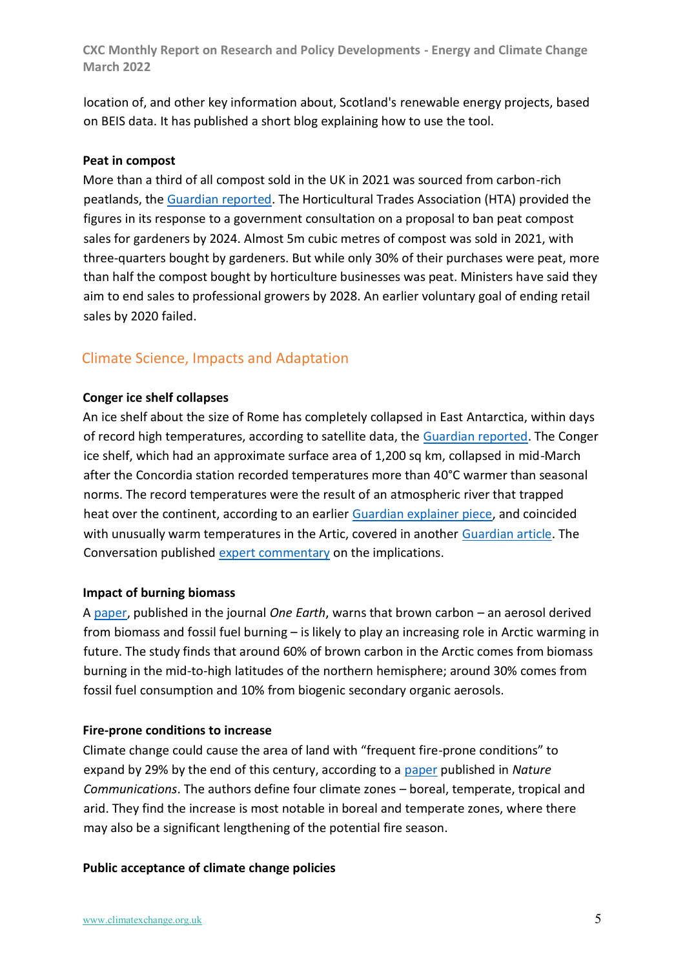location of, and other key information about, Scotland's renewable energy projects, based on BEIS data. It has published a short blog explaining how to use the tool.

## **Peat in compost**

More than a third of all compost sold in the UK in 2021 was sourced from carbon-rich peatlands, the [Guardian reported.](https://www.theguardian.com/environment/2022/mar/31/third-of-all-compost-sold-in-uk-is-climate-damaging-peat) The Horticultural Trades Association (HTA) provided the figures in its response to a government consultation on a proposal to ban peat compost sales for gardeners by 2024. Almost 5m cubic metres of compost was sold in 2021, with three-quarters bought by gardeners. But while only 30% of their purchases were peat, more than half the compost bought by horticulture businesses was peat. Ministers have said they aim to end sales to professional growers by 2028. An earlier voluntary goal of ending retail sales by 2020 failed.

# Climate Science, Impacts and Adaptation

## **Conger ice shelf collapses**

An ice shelf about the size of Rome has completely collapsed in East Antarctica, within days of record high temperatures, according to satellite data, the [Guardian reported.](https://www.theguardian.com/world/2022/mar/25/satellite-data-shows-entire-conger-ice-shelf-has-collapsed-in-antarctica) The Conger ice shelf, which had an approximate surface area of 1,200 sq km, collapsed in mid-March after the Concordia station recorded temperatures more than 40°C warmer than seasonal norms. The record temperatures were the result of an atmospheric river that trapped heat over the continent, according to an earlier [Guardian explainer piece,](https://www.theguardian.com/environment/2022/mar/21/extremes-of-40c-above-normal-whats-causing-extraordinary-heating-in-polar-regions) and coincided with unusually warm temperatures in the Artic, covered in another [Guardian article.](https://www.theguardian.com/environment/2022/mar/20/heatwaves-at-both-of-earth-poles-alarm-climate-scientists) The Conversation published [expert commentary](https://theconversation.com/conger-ice-shelf-has-collapsed-what-you-need-to-know-according-to-experts-180077) on the implications.

#### **Impact of burning biomass**

A [paper,](https://www.sciencedirect.com/science/article/pii/S2590332222000914) published in the journal *One Earth*, warns that brown carbon – an aerosol derived from biomass and fossil fuel burning – is likely to play an increasing role in Arctic warming in future. The study finds that around 60% of brown carbon in the Arctic comes from biomass burning in the mid-to-high latitudes of the northern hemisphere; around 30% comes from fossil fuel consumption and 10% from biogenic secondary organic aerosols.

#### **Fire-prone conditions to increase**

Climate change could cause the area of land with "frequent fire-prone conditions" to expand by 29% by the end of this century, according to a [paper](https://www.nature.com/articles/s41467-022-28835-2) published in *Nature Communications*. The authors define four climate zones – boreal, temperate, tropical and arid. They find the increase is most notable in boreal and temperate zones, where there may also be a significant lengthening of the potential fire season.

#### **Public acceptance of climate change policies**